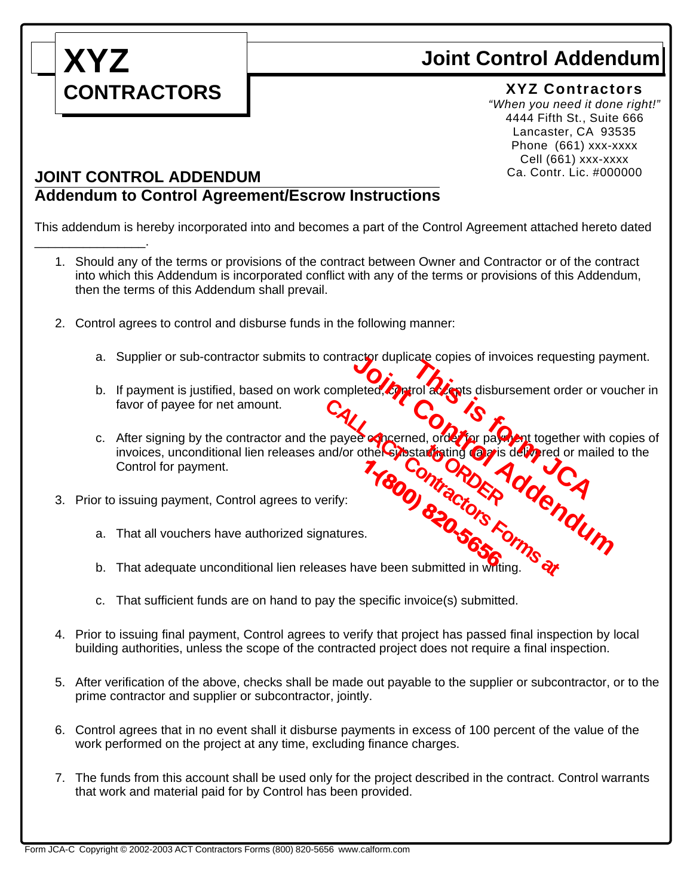

\_\_\_\_\_\_\_\_\_\_\_\_\_\_\_\_.

## **Joint Control Addendum**

## **XYZ Contractors**

*"When you need it done right!"* 4444 Fifth St., Suite 666 Lancaster, CA 93535 Phone (661) xxx-xxxx Cell (661) xxx-xxxx Ca. Contr. Lic. #000000

## **JOINT CONTROL ADDENDUM Addendum to Control Agreement/Escrow Instructions**

This addendum is hereby incorporated into and becomes a part of the Control Agreement attached hereto dated

- 1. Should any of the terms or provisions of the contract between Owner and Contractor or of the contract into which this Addendum is incorporated conflict with any of the terms or provisions of this Addendum, then the terms of this Addendum shall prevail.
- 2. Control agrees to control and disburse funds in the following manner:
	- a. Supplier or sub-contractor submits to contractor duplicate copies of invoices requesting payment.
	- b. If payment is justified, based on work completed, control accepts disbursement order or voucher in favor of payee for net amount.
- c. After signing by the contractor and the payee concerned, order for payment together with copies of invoices, unconditional lien releases and/or other sybstantiating a *a* is delivered or mailed to the Control for payment. 3. Prior to issuing payment, Control agrees to verify:<br>3. That all vouchers have authorized signatures.<br>5. That adequate unconditional lien releases have been submitted in writing. actor duplicate copies of invoices requesting pay<br>bleted, Exprol addents disbursement order or volume<br>of comparisons of the Control of Device of mailed<br>and Contractors Romandum<br>of Contractors Romandum **thating Ogis**<br>http://www.com/ **CALL ACCREDISTANT CONTRACT CONTRACT CONTRACT CONTRACT CONTRACT CONTRACT CONTRACT CONTRACT CONTRACT CONTRACT CONTRACT CONTRACT CONTRACT CONTRACT CONTRACT CONTRACT CONTRACT CONTRACT CONTRACT CONTRACT CONTRACT CONTRACT CONTR** 1-(800) tractors A
- - a. That all vouchers have authorized signatures.
	- b. That adequate unconditional lien releases have been submitted in writing.
	- c. That sufficient funds are on hand to pay the specific invoice(s) submitted.
- 4. Prior to issuing final payment, Control agrees to verify that project has passed final inspection by local building authorities, unless the scope of the contracted project does not require a final inspection.
- 5. After verification of the above, checks shall be made out payable to the supplier or subcontractor, or to the prime contractor and supplier or subcontractor, jointly.
- 6. Control agrees that in no event shall it disburse payments in excess of 100 percent of the value of the work performed on the project at any time, excluding finance charges.
- 7. The funds from this account shall be used only for the project described in the contract. Control warrants that work and material paid for by Control has been provided.